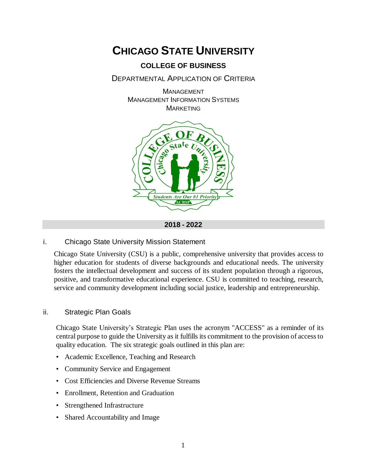

# **COLLEGE OF BUSINESS**

DEPARTMENTAL APPLICATION OF CRITERIA

MANAGEMENT MANAGEMENT INFORMATION SYSTEMS **MARKETING** 



**2018 - 2022**

#### i. Chicago State University Mission Statement

Chicago State University (CSU) is a public, comprehensive university that provides access to higher education for students of diverse backgrounds and educational needs. The university fosters the intellectual development and success of its student population through a rigorous, positive, and transformative educational experience. CSU is committed to teaching, research, service and community development including social justice, leadership and entrepreneurship.

#### ii. Strategic Plan Goals

Chicago State University's Strategic Plan uses the acronym "ACCESS" as a reminder of its central purpose to guide the University as it fulfills its commitment to the provision of access to quality education. The six strategic goals outlined in this plan are:

- Academic Excellence, Teaching and Research
- Community Service and Engagement
- Cost Efficiencies and Diverse Revenue Streams
- Enrollment, Retention and Graduation
- Strengthened Infrastructure
- Shared Accountability and Image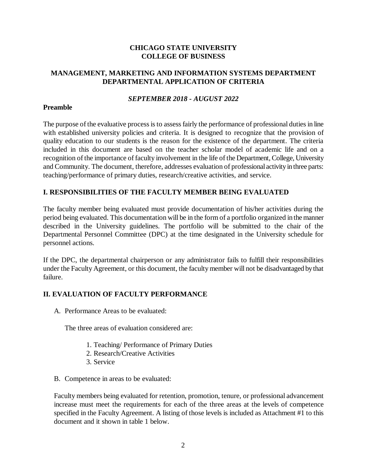## **CHICAGO STATE UNIVERSITY COLLEGE OF BUSINESS**

## **MANAGEMENT, MARKETING AND INFORMATION SYSTEMS DEPARTMENT DEPARTMENTAL APPLICATION OF CRITERIA**

## *SEPTEMBER 2018 - AUGUST 2022*

#### **Preamble**

The purpose of the evaluative process is to assess fairly the performance of professional duties in line with established university policies and criteria. It is designed to recognize that the provision of quality education to our students is the reason for the existence of the department. The criteria included in this document are based on the teacher scholar model of academic life and on a recognition of the importance of faculty involvement in the life of the Department, College, University and Community. The document, therefore, addresses evaluation of professional activity in three parts: teaching/performance of primary duties, research/creative activities, and service.

## **I. RESPONSIBILITIES OF THE FACULTY MEMBER BEING EVALUATED**

The faculty member being evaluated must provide documentation of his/her activities during the period being evaluated. This documentation will be in the form of a portfolio organized in the manner described in the University guidelines. The portfolio will be submitted to the chair of the Departmental Personnel Committee (DPC) at the time designated in the University schedule for personnel actions.

If the DPC, the departmental chairperson or any administrator fails to fulfill their responsibilities under the Faculty Agreement, or this document, the faculty member will not be disadvantaged by that failure.

## **II. EVALUATION OF FACULTY PERFORMANCE**

A. Performance Areas to be evaluated:

The three areas of evaluation considered are:

- 1. Teaching/ Performance of Primary Duties
- 2. Research/Creative Activities
- 3. Service
- B. Competence in areas to be evaluated:

Faculty members being evaluated for retention, promotion, tenure, or professional advancement increase must meet the requirements for each of the three areas at the levels of competence specified in the Faculty Agreement. A listing of those levels is included as Attachment #1 to this document and it shown in table 1 below.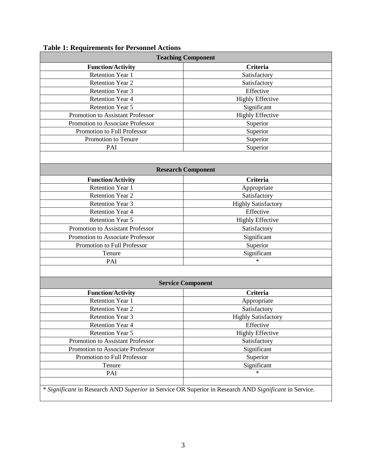| <b>Teaching Component</b>        |                            |
|----------------------------------|----------------------------|
| <b>Function/Activity</b>         | <b>Criteria</b>            |
| <b>Retention Year 1</b>          | Satisfactory               |
| <b>Retention Year 2</b>          | Satisfactory               |
| Retention Year 3                 | Effective                  |
| <b>Retention Year 4</b>          | <b>Highly Effective</b>    |
| <b>Retention Year 5</b>          | Significant                |
| Promotion to Assistant Professor | <b>Highly Effective</b>    |
| Promotion to Associate Professor | Superior                   |
| Promotion to Full Professor      | Superior                   |
| Promotion to Tenure              | Superior                   |
| PAI                              | Superior                   |
|                                  |                            |
| <b>Research Component</b>        |                            |
| <b>Function/Activity</b>         | <b>Criteria</b>            |
| <b>Retention Year 1</b>          | Appropriate                |
| <b>Retention Year 2</b>          | Satisfactory               |
| Retention Year 3                 | <b>Highly Satisfactory</b> |
| <b>Retention Year 4</b>          | Effective                  |
| <b>Retention Year 5</b>          | <b>Highly Effective</b>    |
| Promotion to Assistant Professor | Satisfactory               |
| Promotion to Associate Professor | Significant                |
| Promotion to Full Professor      | Superior                   |
| Tenure                           | Significant                |
| PAI                              | $\ast$                     |
|                                  |                            |
| <b>Service Component</b>         |                            |
| <b>Function/Activity</b>         | <b>Criteria</b>            |
| <b>Retention Year 1</b>          | Appropriate                |
| <b>Retention Year 2</b>          | Satisfactory               |
| Retention Year 3                 | <b>Highly Satisfactory</b> |
| <b>Retention Year 4</b>          | Effective                  |
| Retention Year 5                 | <b>Highly Effective</b>    |
| Promotion to Assistant Professor | Satisfactory               |
| Promotion to Associate Professor | Significant                |
| Promotion to Full Professor      | Superior                   |
|                                  | Significant                |
| Tenure                           |                            |

# **Table 1: Requirements for Personnel Actions**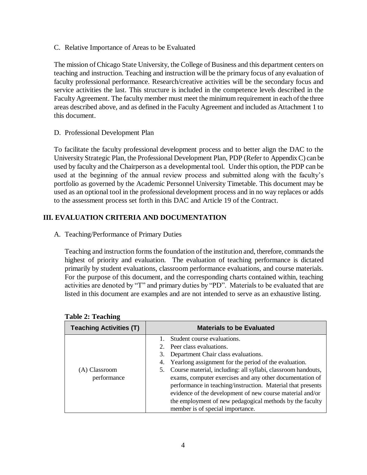C. Relative Importance of Areas to be Evaluated

The mission of Chicago State University, the College of Business and this department centers on teaching and instruction. Teaching and instruction will be the primary focus of any evaluation of faculty professional performance. Research/creative activities will be the secondary focus and service activities the last. This structure is included in the competence levels described in the Faculty Agreement. The faculty member must meet the minimum requirement in each of the three areas described above, and as defined in the Faculty Agreement and included as Attachment 1 to this document.

D. Professional Development Plan

To facilitate the faculty professional development process and to better align the DAC to the University Strategic Plan, the Professional Development Plan, PDP (Refer to Appendix C) can be used by faculty and the Chairperson as a developmental tool. Under this option, the PDP can be used at the beginning of the annual review process and submitted along with the faculty's portfolio as governed by the Academic Personnel University Timetable. This document may be used as an optional tool in the professional development process and in no way replaces or adds to the assessment process set forth in this DAC and Article 19 of the Contract.

## **III. EVALUATION CRITERIA AND DOCUMENTATION**

A. Teaching/Performance of Primary Duties

Teaching and instruction forms the foundation of the institution and, therefore, commands the highest of priority and evaluation. The evaluation of teaching performance is dictated primarily by student evaluations, classroom performance evaluations, and course materials. For the purpose of this document, and the corresponding charts contained within, teaching activities are denoted by "T" and primary duties by "PD". Materials to be evaluated that are listed in this document are examples and are not intended to serve as an exhaustive listing.

| <b>Teaching Activities (T)</b> | <b>Materials to be Evaluated</b>                                                                                                                                                                                                                                                                                                                                                                                                                                                                                           |  |
|--------------------------------|----------------------------------------------------------------------------------------------------------------------------------------------------------------------------------------------------------------------------------------------------------------------------------------------------------------------------------------------------------------------------------------------------------------------------------------------------------------------------------------------------------------------------|--|
| (A) Classroom<br>performance   | Student course evaluations.<br>2. Peer class evaluations.<br>Department Chair class evaluations.<br>4. Yearlong assignment for the period of the evaluation.<br>Course material, including: all syllabi, classroom handouts,<br>5.<br>exams, computer exercises and any other documentation of<br>performance in teaching/instruction. Material that presents<br>evidence of the development of new course material and/or<br>the employment of new pedagogical methods by the faculty<br>member is of special importance. |  |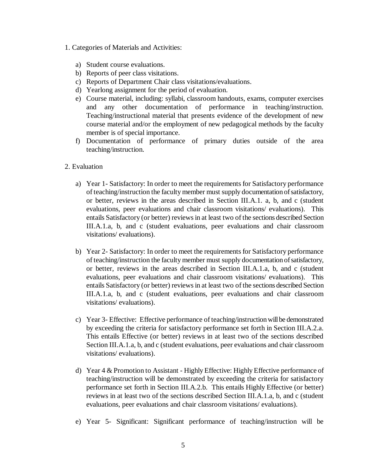- 1. Categories of Materials and Activities:
	- a) Student course evaluations.
	- b) Reports of peer class visitations.
	- c) Reports of Department Chair class visitations/evaluations.
	- d) Yearlong assignment for the period of evaluation.
	- e) Course material, including: syllabi, classroom handouts, exams, computer exercises and any other documentation of performance in teaching/instruction. Teaching/instructional material that presents evidence of the development of new course material and/or the employment of new pedagogical methods by the faculty member is of special importance.
	- f) Documentation of performance of primary duties outside of the area teaching/instruction.
- 2. Evaluation
	- a) Year 1- Satisfactory: In order to meet the requirements for Satisfactory performance of teaching/instruction the faculty member must supply documentation of satisfactory, or better, reviews in the areas described in Section III.A.1. a, b, and c (student evaluations, peer evaluations and chair classroom visitations/ evaluations). This entails Satisfactory (or better) reviews in at least two of the sections described Section III.A.1.a, b, and c (student evaluations, peer evaluations and chair classroom visitations/ evaluations).
	- b) Year 2- Satisfactory: In order to meet the requirements for Satisfactory performance of teaching/instruction the faculty member must supply documentation of satisfactory, or better, reviews in the areas described in Section III.A.1.a, b, and c (student evaluations, peer evaluations and chair classroom visitations/ evaluations). This entails Satisfactory (or better) reviews in at least two of the sections described Section III.A.1.a, b, and c (student evaluations, peer evaluations and chair classroom visitations/ evaluations).
	- c) Year 3- Effective: Effective performance of teaching/instruction will be demonstrated by exceeding the criteria for satisfactory performance set forth in Section III.A.2.a. This entails Effective (or better) reviews in at least two of the sections described Section III.A.1.a, b, and c (student evaluations, peer evaluations and chair classroom visitations/ evaluations).
	- d) Year 4 & Promotion to Assistant Highly Effective: Highly Effective performance of teaching/instruction will be demonstrated by exceeding the criteria for satisfactory performance set forth in Section III.A.2.b. This entails Highly Effective (or better) reviews in at least two of the sections described Section III.A.1.a, b, and c (student evaluations, peer evaluations and chair classroom visitations/ evaluations).
	- e) Year 5- Significant: Significant performance of teaching/instruction will be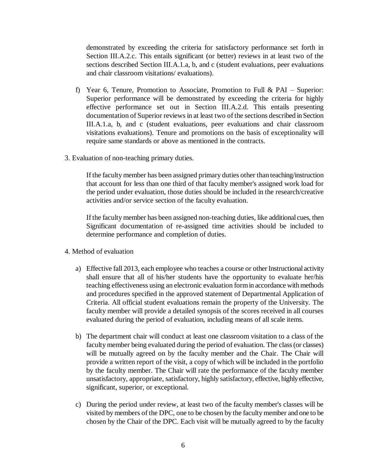demonstrated by exceeding the criteria for satisfactory performance set forth in Section III.A.2.c. This entails significant (or better) reviews in at least two of the sections described Section III.A.1.a, b, and c (student evaluations, peer evaluations and chair classroom visitations/ evaluations).

- f) Year 6, Tenure, Promotion to Associate, Promotion to Full & PAI Superior: Superior performance will be demonstrated by exceeding the criteria for highly effective performance set out in Section III.A.2.d. This entails presenting documentation of Superior reviews in at least two of the sections described in Section III.A.1.a, b, and c (student evaluations, peer evaluations and chair classroom visitations evaluations). Tenure and promotions on the basis of exceptionality will require same standards or above as mentioned in the contracts.
- 3. Evaluation of non-teaching primary duties.

If the faculty member has been assigned primary duties other than teaching/instruction that account for less than one third of that faculty member's assigned work load for the period under evaluation, those duties should be included in the research/creative activities and/or service section of the faculty evaluation.

If the faculty member has been assigned non-teaching duties, like additional cues, then Significant documentation of re-assigned time activities should be included to determine performance and completion of duties.

- 4. Method of evaluation
	- a) Effective fall 2013, each employee who teaches a course or other Instructional activity shall ensure that all of his/her students have the opportunity to evaluate her/his teaching effectiveness using an electronic evaluation form in accordance with methods and procedures specified in the approved statement of Departmental Application of Criteria. All official student evaluations remain the property of the University. The faculty member will provide a detailed synopsis of the scores received in all courses evaluated during the period of evaluation, including means of all scale items.
	- b) The department chair will conduct at least one classroom visitation to a class of the faculty member being evaluated during the period of evaluation. The class (or classes) will be mutually agreed on by the faculty member and the Chair. The Chair will provide a written report of the visit, a copy of which will be included in the portfolio by the faculty member. The Chair will rate the performance of the faculty member unsatisfactory, appropriate, satisfactory, highly satisfactory, effective, highly effective, significant, superior, or exceptional.
	- c) During the period under review, at least two of the faculty member's classes will be visited by members of the DPC, one to be chosen by the faculty member and one to be chosen by the Chair of the DPC. Each visit will be mutually agreed to by the faculty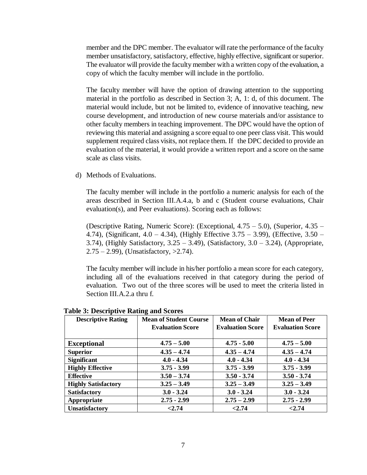member and the DPC member. The evaluator will rate the performance of the faculty member unsatisfactory, satisfactory, effective, highly effective, significant or superior. The evaluator will provide the faculty member with a written copy of the evaluation, a copy of which the faculty member will include in the portfolio.

The faculty member will have the option of drawing attention to the supporting material in the portfolio as described in Section 3; A, 1: d, of this document. The material would include, but not be limited to, evidence of innovative teaching, new course development, and introduction of new course materials and/or assistance to other faculty members in teaching improvement. The DPC would have the option of reviewing this material and assigning a score equal to one peer class visit. This would supplement required class visits, not replace them. If the DPC decided to provide an evaluation of the material, it would provide a written report and a score on the same scale as class visits.

d) Methods of Evaluations.

The faculty member will include in the portfolio a numeric analysis for each of the areas described in Section III.A.4.a, b and c (Student course evaluations, Chair evaluation(s), and Peer evaluations). Scoring each as follows:

(Descriptive Rating, Numeric Score): (Exceptional, 4.75 – 5.0), (Superior, 4.35 – 4.74), (Significant, 4.0 – 4.34), (Highly Effective 3.75 – 3.99), (Effective, 3.50 – 3.74), (Highly Satisfactory, 3.25 – 3.49), (Satisfactory, 3.0 – 3.24), (Appropriate, 2.75 – 2.99), (Unsatisfactory, >2.74).

The faculty member will include in his/her portfolio a mean score for each category, including all of the evaluations received in that category during the period of evaluation. Two out of the three scores will be used to meet the criteria listed in Section III.A.2.a thru f.

| <b>Descriptive Rating</b>  | <b>Mean of Student Course</b> | <b>Mean of Chair</b>    | <b>Mean of Peer</b>     |
|----------------------------|-------------------------------|-------------------------|-------------------------|
|                            | <b>Evaluation Score</b>       | <b>Evaluation Score</b> | <b>Evaluation Score</b> |
|                            |                               |                         |                         |
| <b>Exceptional</b>         | $4.75 - 5.00$                 | $4.75 - 5.00$           | $4.75 - 5.00$           |
| <b>Superior</b>            | $4.35 - 4.74$                 | $4.35 - 4.74$           | $4.35 - 4.74$           |
| <b>Significant</b>         | $4.0 - 4.34$                  | $4.0 - 4.34$            | $4.0 - 4.34$            |
| <b>Highly Effective</b>    | $3.75 - 3.99$                 | $3.75 - 3.99$           | $3.75 - 3.99$           |
| <b>Effective</b>           | $3.50 - 3.74$                 | $3.50 - 3.74$           | $3.50 - 3.74$           |
| <b>Highly Satisfactory</b> | $3.25 - 3.49$                 | $3.25 - 3.49$           | $3.25 - 3.49$           |
| <b>Satisfactory</b>        | $3.0 - 3.24$                  | $3.0 - 3.24$            | $3.0 - 3.24$            |
| Appropriate                | $2.75 - 2.99$                 | $2.75 - 2.99$           | $2.75 - 2.99$           |
| <b>Unsatisfactory</b>      | < 2.74                        | < 2.74                  | < 2.74                  |

#### **Table 3: Descriptive Rating and Scores**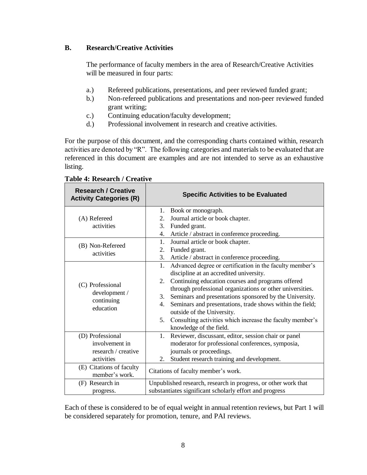## **B. Research/Creative Activities**

The performance of faculty members in the area of Research/Creative Activities will be measured in four parts:

- a.) Refereed publications, presentations, and peer reviewed funded grant;
- b.) Non-refereed publications and presentations and non-peer reviewed funded grant writing;
- c.) Continuing education/faculty development;
- d.) Professional involvement in research and creative activities.

For the purpose of this document, and the corresponding charts contained within, research activities are denoted by "R". The following categories and materials to be evaluated that are referenced in this document are examples and are not intended to serve as an exhaustive listing.

| <b>Research / Creative</b><br><b>Activity Categories (R)</b> | <b>Specific Activities to be Evaluated</b>                      |  |
|--------------------------------------------------------------|-----------------------------------------------------------------|--|
|                                                              | Book or monograph.<br>1.                                        |  |
| (A) Refereed                                                 | Journal article or book chapter.<br>2.                          |  |
| activities                                                   | 3.<br>Funded grant.                                             |  |
|                                                              | Article / abstract in conference proceeding.<br>4.              |  |
| (B) Non-Refereed                                             | Journal article or book chapter.<br>1.                          |  |
| activities                                                   | Funded grant.<br>2.                                             |  |
|                                                              | 3.<br>Article / abstract in conference proceeding.              |  |
|                                                              | Advanced degree or certification in the faculty member's<br>1.  |  |
|                                                              | discipline at an accredited university.                         |  |
| (C) Professional<br>development /<br>continuing              | Continuing education courses and programs offered<br>2.         |  |
|                                                              | through professional organizations or other universities.       |  |
|                                                              | Seminars and presentations sponsored by the University.<br>3.   |  |
| education                                                    | Seminars and presentations, trade shows within the field;<br>4. |  |
|                                                              | outside of the University.                                      |  |
|                                                              | Consulting activities which increase the faculty member's<br>5. |  |
|                                                              | knowledge of the field.                                         |  |
| (D) Professional                                             | Reviewer, discussant, editor, session chair or panel<br>1.      |  |
| involvement in                                               | moderator for professional conferences, symposia,               |  |
| research / creative                                          | journals or proceedings.                                        |  |
| activities                                                   | Student research training and development.<br>2.                |  |
| (E) Citations of faculty                                     | Citations of faculty member's work.                             |  |
| member's work.                                               |                                                                 |  |
| (F) Research in                                              | Unpublished research, research in progress, or other work that  |  |
| progress.                                                    | substantiates significant scholarly effort and progress         |  |

**Table 4: Research / Creative** 

Each of these is considered to be of equal weight in annual retention reviews, but Part 1 will be considered separately for promotion, tenure, and PAI reviews.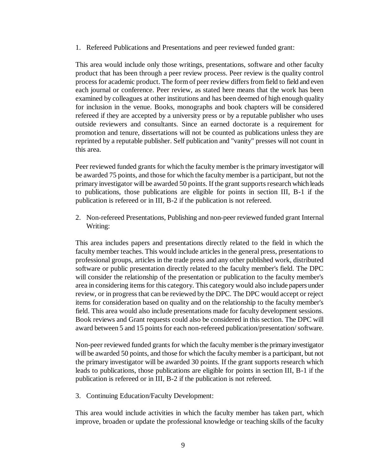1. Refereed Publications and Presentations and peer reviewed funded grant:

This area would include only those writings, presentations, software and other faculty product that has been through a peer review process. Peer review is the quality control process for academic product. The form of peer review differs from field to field and even each journal or conference. Peer review, as stated here means that the work has been examined by colleagues at other institutions and has been deemed of high enough quality for inclusion in the venue. Books, monographs and book chapters will be considered refereed if they are accepted by a university press or by a reputable publisher who uses outside reviewers and consultants. Since an earned doctorate is a requirement for promotion and tenure, dissertations will not be counted as publications unless they are reprinted by a reputable publisher. Self publication and "vanity" presses will not count in this area.

Peer reviewed funded grants for which the faculty member is the primary investigator will be awarded 75 points, and those for which the faculty member is a participant, but not the primary investigator will be awarded 50 points. If the grant supports research which leads to publications, those publications are eligible for points in section III, B-1 if the publication is refereed or in III, B-2 if the publication is not refereed.

2. Non-refereed Presentations, Publishing and non-peer reviewed funded grant Internal Writing:

This area includes papers and presentations directly related to the field in which the faculty member teaches. This would include articles in the general press, presentations to professional groups, articles in the trade press and any other published work, distributed software or public presentation directly related to the faculty member's field. The DPC will consider the relationship of the presentation or publication to the faculty member's area in considering items for this category. This category would also include papers under review, or in progress that can be reviewed by the DPC. The DPC would accept or reject items for consideration based on quality and on the relationship to the faculty member's field. This area would also include presentations made for faculty development sessions. Book reviews and Grant requests could also be considered in this section. The DPC will award between 5 and 15 points for each non-refereed publication/presentation/ software.

Non-peer reviewed funded grants for which the faculty member is the primary investigator will be awarded 50 points, and those for which the faculty member is a participant, but not the primary investigator will be awarded 30 points. If the grant supports research which leads to publications, those publications are eligible for points in section III, B-1 if the publication is refereed or in III, B-2 if the publication is not refereed.

3. Continuing Education/Faculty Development:

This area would include activities in which the faculty member has taken part, which improve, broaden or update the professional knowledge or teaching skills of the faculty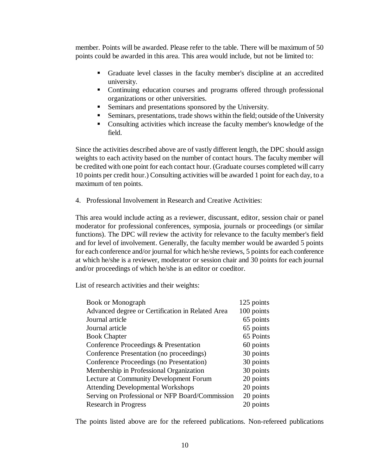member. Points will be awarded. Please refer to the table. There will be maximum of 50 points could be awarded in this area. This area would include, but not be limited to:

- Graduate level classes in the faculty member's discipline at an accredited university.
- Continuing education courses and programs offered through professional organizations or other universities.
- Seminars and presentations sponsored by the University.
- Seminars, presentations, trade shows within the field; outside of the University
- Consulting activities which increase the faculty member's knowledge of the field.

Since the activities described above are of vastly different length, the DPC should assign weights to each activity based on the number of contact hours. The faculty member will be credited with one point for each contact hour. (Graduate courses completed will carry 10 points per credit hour.) Consulting activities will be awarded 1 point for each day, to a maximum of ten points.

4. Professional Involvement in Research and Creative Activities:

This area would include acting as a reviewer, discussant, editor, session chair or panel moderator for professional conferences, symposia, journals or proceedings (or similar functions). The DPC will review the activity for relevance to the faculty member's field and for level of involvement. Generally, the faculty member would be awarded 5 points for each conference and/or journal for which he/she reviews, 5 points for each conference at which he/she is a reviewer, moderator or session chair and 30 points for each journal and/or proceedings of which he/she is an editor or coeditor.

List of research activities and their weights:

| <b>Book or Monograph</b>                         | 125 points |
|--------------------------------------------------|------------|
| Advanced degree or Certification in Related Area | 100 points |
| Journal article                                  | 65 points  |
| Journal article                                  | 65 points  |
| <b>Book Chapter</b>                              | 65 Points  |
| Conference Proceedings & Presentation            | 60 points  |
| Conference Presentation (no proceedings)         | 30 points  |
| Conference Proceedings (no Presentation)         | 30 points  |
| Membership in Professional Organization          | 30 points  |
| Lecture at Community Development Forum           | 20 points  |
| <b>Attending Developmental Workshops</b>         | 20 points  |
| Serving on Professional or NFP Board/Commission  | 20 points  |
| Research in Progress                             | 20 points  |
|                                                  |            |

The points listed above are for the refereed publications. Non-refereed publications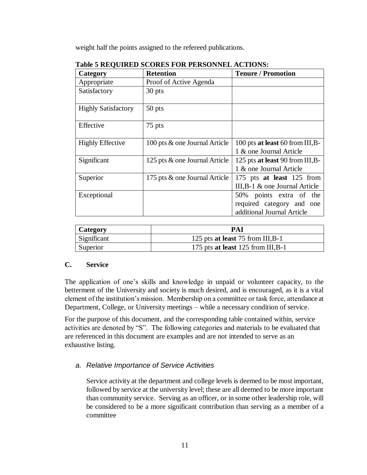weight half the points assigned to the refereed publications.

| Category                   | <b>Retention</b>              | <b>Tenure / Promotion</b>                                                          |  |
|----------------------------|-------------------------------|------------------------------------------------------------------------------------|--|
| Appropriate                | Proof of Active Agenda        |                                                                                    |  |
| Satisfactory               | 30 pts                        |                                                                                    |  |
| <b>Highly Satisfactory</b> | 50 pts                        |                                                                                    |  |
| Effective                  | 75 pts                        |                                                                                    |  |
| <b>Highly Effective</b>    | 100 pts & one Journal Article | 100 pts at least 60 from III, B-<br>1 & one Journal Article                        |  |
| Significant                | 125 pts & one Journal Article | 125 pts at least 90 from III, B-<br>1 & one Journal Article                        |  |
| Superior                   | 175 pts & one Journal Article | 175 pts at least 125 from<br>III, B-1 $\&$ one Journal Article                     |  |
| Exceptional                |                               | 50% points extra of the<br>required category and one<br>additional Journal Article |  |

|  | <b>Table 5 REQUIRED SCORES FOR PERSONNEL ACTIONS:</b> |
|--|-------------------------------------------------------|
|  |                                                       |

| Category    | PAI                                |  |
|-------------|------------------------------------|--|
| Significant | 125 pts at least 75 from III, B-1  |  |
| Superior    | 175 pts at least 125 from III, B-1 |  |

## **C. Service**

The application of one's skills and knowledge in unpaid or volunteer capacity, to the betterment of the University and society is much desired, and is encouraged, as it is a vital element of the institution's mission. Membership on a committee or task force, attendance at Department, College, or University meetings – while a necessary condition of service.

For the purpose of this document, and the corresponding table contained within, service activities are denoted by "S". The following categories and materials to be evaluated that are referenced in this document are examples and are not intended to serve as an exhaustive listing.

# *a. Relative Importance of Service Activities*

Service activity at the department and college levels is deemed to be most important, followed by service at the university level; these are all deemed to be more important than community service. Serving as an officer, or in some other leadership role, will be considered to be a more significant contribution than serving as a member of a committee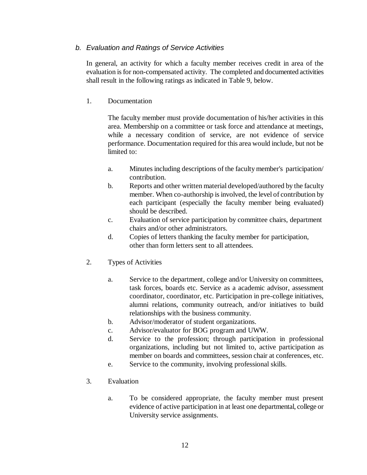## *b. Evaluation and Ratings of Service Activities*

In general, an activity for which a faculty member receives credit in area of the evaluation is for non-compensated activity. The completed and documented activities shall result in the following ratings as indicated in Table 9, below.

## 1. Documentation

The faculty member must provide documentation of his/her activities in this area. Membership on a committee or task force and attendance at meetings, while a necessary condition of service, are not evidence of service performance. Documentation required for this area would include, but not be limited to:

- a. Minutes including descriptions of the faculty member's participation/ contribution.
- b. Reports and other written material developed/authored by the faculty member. When co-authorship is involved, the level of contribution by each participant (especially the faculty member being evaluated) should be described.
- c. Evaluation of service participation by committee chairs, department chairs and/or other administrators.
- d. Copies of letters thanking the faculty member for participation, other than form letters sent to all attendees.
- 2. Types of Activities
	- a. Service to the department, college and/or University on committees, task forces, boards etc. Service as a academic advisor, assessment coordinator, coordinator, etc. Participation in pre-college initiatives, alumni relations, community outreach, and/or initiatives to build relationships with the business community.
	- b. Advisor/moderator of student organizations.
	- c. Advisor/evaluator for BOG program and UWW.
	- d. Service to the profession; through participation in professional organizations, including but not limited to, active participation as member on boards and committees, session chair at conferences, etc.
	- e. Service to the community, involving professional skills.
- 3. Evaluation
	- a. To be considered appropriate, the faculty member must present evidence of active participation in at least one departmental, college or University service assignments.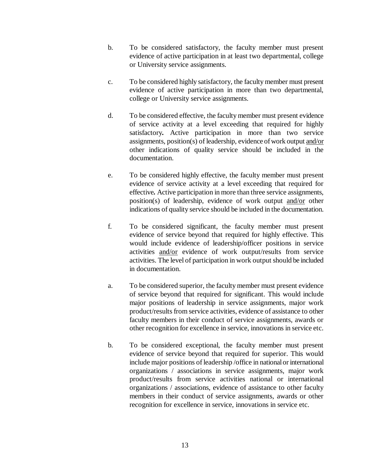- b. To be considered satisfactory, the faculty member must present evidence of active participation in at least two departmental, college or University service assignments.
- c. To be considered highly satisfactory, the faculty member must present evidence of active participation in more than two departmental, college or University service assignments.
- d. To be considered effective, the faculty member must present evidence of service activity at a level exceeding that required for highly satisfactory*.* Active participation in more than two service assignments, position(s) of leadership, evidence of work output and/or other indications of quality service should be included in the documentation.
- e. To be considered highly effective, the faculty member must present evidence of service activity at a level exceeding that required for effective*.* Active participation in more than three service assignments, position(s) of leadership, evidence of work output and/or other indications of quality service should be included in the documentation.
- f. To be considered significant, the faculty member must present evidence of service beyond that required for highly effective. This would include evidence of leadership/officer positions in service activities and/or evidence of work output/results from service activities. The level of participation in work output should be included in documentation.
- a. To be considered superior, the faculty member must present evidence of service beyond that required for significant. This would include major positions of leadership in service assignments, major work product/results from service activities, evidence of assistance to other faculty members in their conduct of service assignments, awards or other recognition for excellence in service, innovations in service etc.
- b. To be considered exceptional, the faculty member must present evidence of service beyond that required for superior. This would include major positions of leadership /office in national or international organizations / associations in service assignments, major work product/results from service activities national or international organizations / associations, evidence of assistance to other faculty members in their conduct of service assignments, awards or other recognition for excellence in service, innovations in service etc.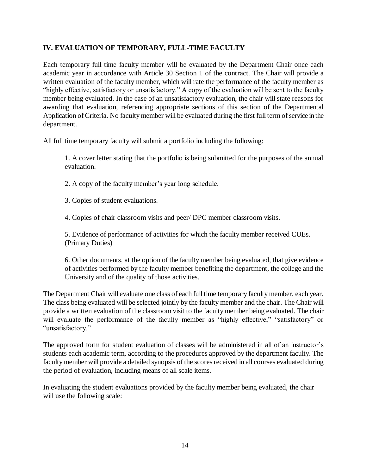## **IV. EVALUATION OF TEMPORARY, FULL-TIME FACULTY**

Each temporary full time faculty member will be evaluated by the Department Chair once each academic year in accordance with Article 30 Section 1 of the contract. The Chair will provide a written evaluation of the faculty member, which will rate the performance of the faculty member as "highly effective, satisfactory or unsatisfactory." A copy of the evaluation will be sent to the faculty member being evaluated. In the case of an unsatisfactory evaluation, the chair will state reasons for awarding that evaluation, referencing appropriate sections of this section of the Departmental Application of Criteria. No faculty member will be evaluated during the first full term of service in the department.

All full time temporary faculty will submit a portfolio including the following:

1. A cover letter stating that the portfolio is being submitted for the purposes of the annual evaluation.

2. A copy of the faculty member's year long schedule.

3. Copies of student evaluations.

4. Copies of chair classroom visits and peer/ DPC member classroom visits.

5. Evidence of performance of activities for which the faculty member received CUEs. (Primary Duties)

6. Other documents, at the option of the faculty member being evaluated, that give evidence of activities performed by the faculty member benefiting the department, the college and the University and of the quality of those activities.

The Department Chair will evaluate one class of each full time temporary faculty member, each year. The class being evaluated will be selected jointly by the faculty member and the chair. The Chair will provide a written evaluation of the classroom visit to the faculty member being evaluated. The chair will evaluate the performance of the faculty member as "highly effective," "satisfactory" or "unsatisfactory."

The approved form for student evaluation of classes will be administered in all of an instructor's students each academic term, according to the procedures approved by the department faculty. The faculty member will provide a detailed synopsis of the scores received in all courses evaluated during the period of evaluation, including means of all scale items.

In evaluating the student evaluations provided by the faculty member being evaluated, the chair will use the following scale: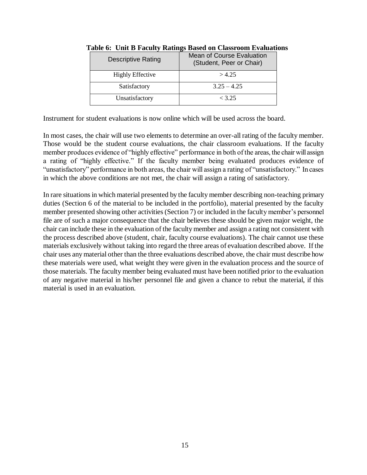| <b>Descriptive Rating</b> | <b>Mean of Course Evaluation</b><br>(Student, Peer or Chair) |
|---------------------------|--------------------------------------------------------------|
| <b>Highly Effective</b>   | >4.25                                                        |
| Satisfactory              | $3.25 - 4.25$                                                |
| Unsatisfactory            | $<$ 3.25                                                     |

**Table 6: Unit B Faculty Ratings Based on Classroom Evaluations**

Instrument for student evaluations is now online which will be used across the board.

In most cases, the chair will use two elements to determine an over-all rating of the faculty member. Those would be the student course evaluations, the chair classroom evaluations. If the faculty member produces evidence of "highly effective" performance in both of the areas, the chair will assign a rating of "highly effective." If the faculty member being evaluated produces evidence of "unsatisfactory" performance in both areas, the chair will assign a rating of "unsatisfactory." In cases in which the above conditions are not met, the chair will assign a rating of satisfactory.

In rare situations in which material presented by the faculty member describing non-teaching primary duties (Section 6 of the material to be included in the portfolio), material presented by the faculty member presented showing other activities (Section 7) or included in the faculty member's personnel file are of such a major consequence that the chair believes these should be given major weight, the chair can include these in the evaluation of the faculty member and assign a rating not consistent with the process described above (student, chair, faculty course evaluations). The chair cannot use these materials exclusively without taking into regard the three areas of evaluation described above. If the chair uses any material other than the three evaluations described above, the chair must describe how these materials were used, what weight they were given in the evaluation process and the source of those materials. The faculty member being evaluated must have been notified prior to the evaluation of any negative material in his/her personnel file and given a chance to rebut the material, if this material is used in an evaluation.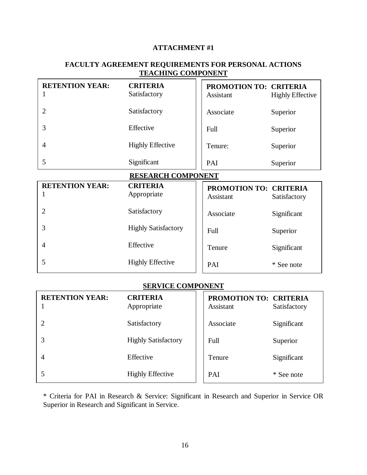#### **ATTACHMENT #1**

# **FACULTY AGREEMENT REQUIREMENTS FOR PERSONAL ACTIONS TEACHING COMPONENT**

| <b>RETENTION YEAR:</b> | <b>CRITERIA</b><br>Satisfactory | PROMOTION TO: CRITERIA<br>Assistant | <b>Highly Effective</b> |
|------------------------|---------------------------------|-------------------------------------|-------------------------|
|                        | Satisfactory                    | Associate                           | Superior                |
|                        | Effective                       | Full                                | Superior                |
| 4                      | <b>Highly Effective</b>         | Tenure:                             | Superior                |
|                        | Significant                     | PAI                                 | Superior                |

#### **RESEARCH COMPONENT**

| <b>RETENTION YEAR:</b> | <b>CRITERIA</b><br>Appropriate | <b>PROMOTION TO: CRITERIA</b><br>Assistant | Satisfactory |
|------------------------|--------------------------------|--------------------------------------------|--------------|
|                        | Satisfactory                   | Associate                                  | Significant  |
|                        | <b>Highly Satisfactory</b>     | Full                                       | Superior     |
| 4                      | Effective                      | Tenure                                     | Significant  |
|                        | <b>Highly Effective</b>        | PAI                                        | * See note   |

## **SERVICE COMPONENT**

| <b>RETENTION YEAR:</b> | <b>CRITERIA</b><br>Appropriate | PROMOTION TO: CRITERIA<br>Assistant | Satisfactory |
|------------------------|--------------------------------|-------------------------------------|--------------|
|                        | Satisfactory                   | Associate                           | Significant  |
|                        | <b>Highly Satisfactory</b>     | Full                                | Superior     |
| $\overline{4}$         | Effective                      | Tenure                              | Significant  |
|                        | <b>Highly Effective</b>        | PAI                                 | * See note   |

\* Criteria for PAI in Research & Service: Significant in Research and Superior in Service OR Superior in Research and Significant in Service.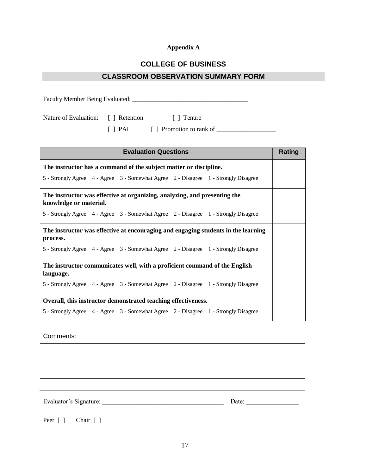## **Appendix A**

# **COLLEGE OF BUSINESS**

#### **CLASSROOM OBSERVATION SUMMARY FORM**

| Faculty Member Being Evaluated:    |  |                                  |  |  |
|------------------------------------|--|----------------------------------|--|--|
| Nature of Evaluation: [] Retention |  | [ Tenure                         |  |  |
|                                    |  | [ ] PAI [ ] Promotion to rank of |  |  |

| <b>Evaluation Questions</b>                                                                         | Rating |  |  |
|-----------------------------------------------------------------------------------------------------|--------|--|--|
| The instructor has a command of the subject matter or discipline.                                   |        |  |  |
| 5 - Strongly Agree 4 - Agree 3 - Somewhat Agree 2 - Disagree 1 - Strongly Disagree                  |        |  |  |
| The instructor was effective at organizing, analyzing, and presenting the<br>knowledge or material. |        |  |  |
| 5 - Strongly Agree 4 - Agree 3 - Somewhat Agree 2 - Disagree 1 - Strongly Disagree                  |        |  |  |
| The instructor was effective at encouraging and engaging students in the learning                   |        |  |  |
| process.                                                                                            |        |  |  |
| 5 - Strongly Agree 4 - Agree 3 - Somewhat Agree 2 - Disagree 1 - Strongly Disagree                  |        |  |  |
| The instructor communicates well, with a proficient command of the English<br>language.             |        |  |  |
|                                                                                                     |        |  |  |
| 5 - Strongly Agree 4 - Agree 3 - Somewhat Agree 2 - Disagree 1 - Strongly Disagree                  |        |  |  |
| Overall, this instructor demonstrated teaching effectiveness.                                       |        |  |  |
| 5 - Strongly Agree 4 - Agree 3 - Somewhat Agree 2 - Disagree 1 - Strongly Disagree                  |        |  |  |

Comments:

Evaluator's Signature: \_\_\_\_\_\_\_\_\_\_\_\_\_\_\_\_\_\_\_\_\_\_\_\_\_\_\_\_\_\_\_\_\_\_\_\_\_ Date: \_\_\_\_\_\_\_\_\_\_\_\_\_\_\_\_

Peer [ ] Chair [ ]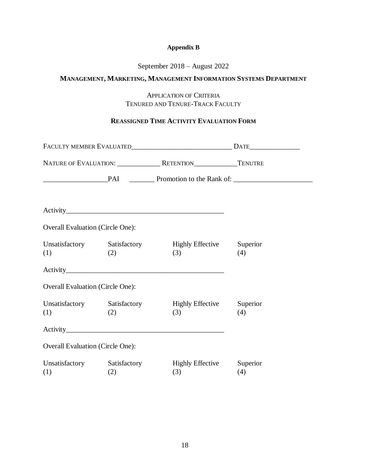## **Appendix B**

## September 2018 – August 2022

## **MANAGEMENT, MARKETING, MANAGEMENT INFORMATION SYSTEMS DEPARTMENT**

APPLICATION OF CRITERIA TENURED AND TENURE-TRACK FACULTY

## **REASSIGNED TIME ACTIVITY EVALUATION FORM**

|                                         |     |                                                              | PAI Promotion to the Rank of: |  |  |
|-----------------------------------------|-----|--------------------------------------------------------------|-------------------------------|--|--|
|                                         |     |                                                              |                               |  |  |
| <b>Overall Evaluation (Circle One):</b> |     |                                                              |                               |  |  |
| (1)                                     | (2) | Unsatisfactory Satisfactory Highly Effective Superior<br>(3) | (4)                           |  |  |
|                                         |     |                                                              |                               |  |  |
| <b>Overall Evaluation (Circle One):</b> |     |                                                              |                               |  |  |
| Unsatisfactory Satisfactory<br>(1)      | (2) | <b>Highly Effective</b><br>(3)                               | Superior<br>(4)               |  |  |
|                                         |     |                                                              |                               |  |  |
| <b>Overall Evaluation (Circle One):</b> |     |                                                              |                               |  |  |
| Unsatisfactory Satisfactory<br>(1)      | (2) | Highly Effective Superior<br>(3)                             | (4)                           |  |  |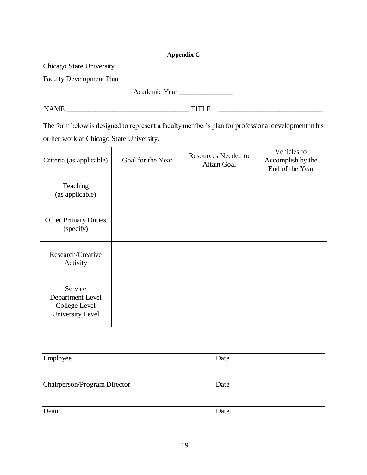19

# **Appendix C**

Chicago State University

Faculty Development Plan

Academic Year \_\_\_\_\_\_\_\_\_\_\_\_\_\_\_

NAME \_\_\_\_\_\_\_\_\_\_\_\_\_\_\_\_\_\_\_\_\_\_\_\_\_\_\_\_\_\_\_\_\_\_ TITLE \_\_\_\_\_\_\_\_\_\_\_\_\_\_\_\_\_\_\_\_\_\_\_\_\_\_\_\_\_

The form below is designed to represent a faculty member's plan for professional development in his or her work at Chicago State University.

| Criteria (as applicable)                                                | Goal for the Year | <b>Resources Needed to</b><br><b>Attain Goal</b> | Vehicles to<br>Accomplish by the<br>End of the Year |
|-------------------------------------------------------------------------|-------------------|--------------------------------------------------|-----------------------------------------------------|
| Teaching<br>(as applicable)                                             |                   |                                                  |                                                     |
| <b>Other Primary Duties</b><br>(specify)                                |                   |                                                  |                                                     |
| Research/Creative<br>Activity                                           |                   |                                                  |                                                     |
| Service<br>Department Level<br>College Level<br><b>University Level</b> |                   |                                                  |                                                     |

Employee Date

Chairperson/Program Director Date

Dean Date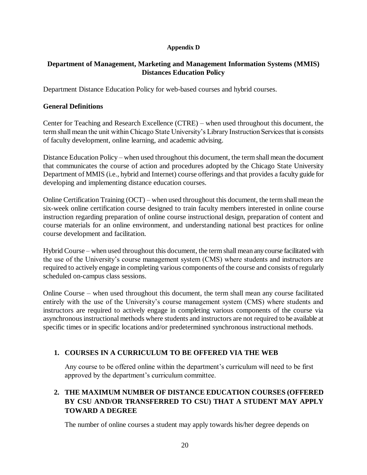#### **Appendix D**

## **Department of Management, Marketing and Management Information Systems (MMIS) Distances Education Policy**

Department Distance Education Policy for web-based courses and hybrid courses.

## **General Definitions**

Center for Teaching and Research Excellence (CTRE) – when used throughout this document, the term shall mean the unit within Chicago State University's Library Instruction Services that is consists of faculty development, online learning, and academic advising.

Distance Education Policy – when used throughout this document, the term shall mean the document that communicates the course of action and procedures adopted by the Chicago State University Department of MMIS (i.e., hybrid and Internet) course offerings and that provides a faculty guide for developing and implementing distance education courses.

Online Certification Training (OCT) – when used throughout this document, the term shall mean the six-week online certification course designed to train faculty members interested in online course instruction regarding preparation of online course instructional design, preparation of content and course materials for an online environment, and understanding national best practices for online course development and facilitation.

Hybrid Course – when used throughout this document, the term shall mean any course facilitated with the use of the University's course management system (CMS) where students and instructors are required to actively engage in completing various components of the course and consists of regularly scheduled on-campus class sessions.

Online Course – when used throughout this document, the term shall mean any course facilitated entirely with the use of the University's course management system (CMS) where students and instructors are required to actively engage in completing various components of the course via asynchronous instructional methods where students and instructors are not required to be available at specific times or in specific locations and/or predetermined synchronous instructional methods.

# **1. COURSES IN A CURRICULUM TO BE OFFERED VIA THE WEB**

Any course to be offered online within the department's curriculum will need to be first approved by the department's curriculum committee.

# **2. THE MAXIMUM NUMBER OF DISTANCE EDUCATION COURSES (OFFERED BY CSU AND/OR TRANSFERRED TO CSU) THAT A STUDENT MAY APPLY TOWARD A DEGREE**

The number of online courses a student may apply towards his/her degree depends on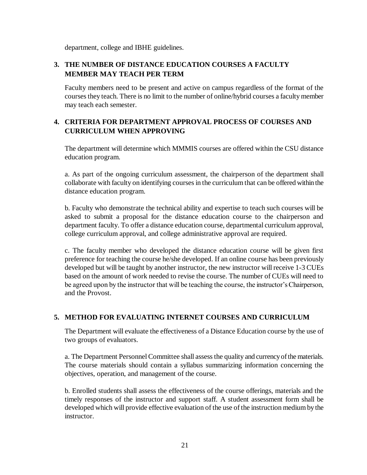department, college and IBHE guidelines.

# **3. THE NUMBER OF DISTANCE EDUCATION COURSES A FACULTY MEMBER MAY TEACH PER TERM**

Faculty members need to be present and active on campus regardless of the format of the courses they teach. There is no limit to the number of online/hybrid courses a faculty member may teach each semester.

# **4. CRITERIA FOR DEPARTMENT APPROVAL PROCESS OF COURSES AND CURRICULUM WHEN APPROVING**

The department will determine which MMMIS courses are offered within the CSU distance education program.

a. As part of the ongoing curriculum assessment, the chairperson of the department shall collaborate with faculty on identifying courses in the curriculum that can be offered within the distance education program.

b. Faculty who demonstrate the technical ability and expertise to teach such courses will be asked to submit a proposal for the distance education course to the chairperson and department faculty. To offer a distance education course, departmental curriculum approval, college curriculum approval, and college administrative approval are required.

c. The faculty member who developed the distance education course will be given first preference for teaching the course he/she developed. If an online course has been previously developed but will be taught by another instructor, the new instructor will receive 1-3 CUEs based on the amount of work needed to revise the course. The number of CUEs will need to be agreed upon by the instructor that will be teaching the course, the instructor's Chairperson, and the Provost.

## **5. METHOD FOR EVALUATING INTERNET COURSES AND CURRICULUM**

The Department will evaluate the effectiveness of a Distance Education course by the use of two groups of evaluators.

a. The Department Personnel Committee shall assess the quality and currency of the materials. The course materials should contain a syllabus summarizing information concerning the objectives, operation, and management of the course.

b. Enrolled students shall assess the effectiveness of the course offerings, materials and the timely responses of the instructor and support staff. A student assessment form shall be developed which will provide effective evaluation of the use of the instruction medium by the instructor.